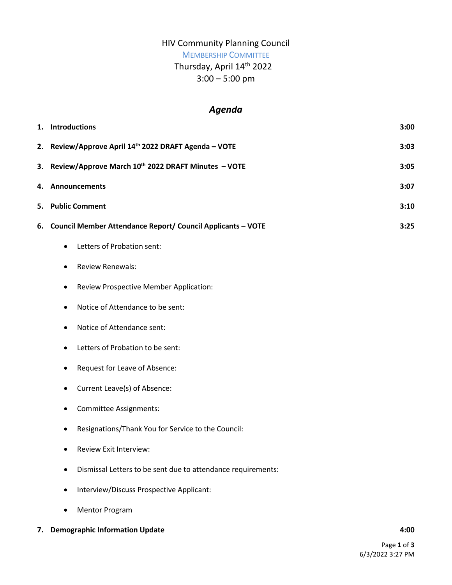## HIV Community Planning Council

# MEMBERSHIP COMMITTEE

# Thursday, April 14th 2022

3:00 – 5:00 pm

# *Agenda*

| 1. | <b>Introductions</b>                                            | 3:00 |
|----|-----------------------------------------------------------------|------|
|    | 2. Review/Approve April 14th 2022 DRAFT Agenda - VOTE           | 3:03 |
| 3. | Review/Approve March 10th 2022 DRAFT Minutes - VOTE             | 3:05 |
| 4. | Announcements                                                   | 3:07 |
| 5. | <b>Public Comment</b>                                           | 3:10 |
| 6. | Council Member Attendance Report/ Council Applicants - VOTE     | 3:25 |
|    | Letters of Probation sent:<br>٠                                 |      |
|    | <b>Review Renewals:</b><br>٠                                    |      |
|    | Review Prospective Member Application:<br>$\bullet$             |      |
|    | Notice of Attendance to be sent:<br>$\bullet$                   |      |
|    | Notice of Attendance sent:<br>٠                                 |      |
|    | Letters of Probation to be sent:<br>$\bullet$                   |      |
|    | Request for Leave of Absence:<br>$\bullet$                      |      |
|    | Current Leave(s) of Absence:<br>٠                               |      |
|    | Committee Assignments:<br>٠                                     |      |
|    | Resignations/Thank You for Service to the Council:<br>$\bullet$ |      |
|    | Review Exit Interview:<br>٠                                     |      |
|    | Dismissal Letters to be sent due to attendance requirements:    |      |
|    | Interview/Discuss Prospective Applicant:<br>$\bullet$           |      |
|    | <b>Mentor Program</b>                                           |      |

## **7. Demographic Information Update 4:00**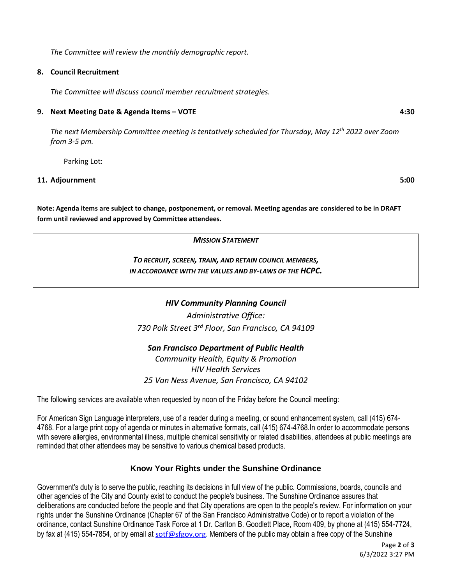*The Committee will review the monthly demographic report.* 

#### **8. Council Recruitment**

*The Committee will discuss council member recruitment strategies.* 

#### **9. Next Meeting Date & Agenda Items – VOTE 4:30**

*The next Membership Committee meeting is tentatively scheduled for Thursday, May 12th 2022 over Zoom from 3-5 pm.* 

Parking Lot:

#### **11. Adjournment 5:00**

**Note: Agenda items are subject to change, postponement, or removal. Meeting agendas are considered to be in DRAFT form until reviewed and approved by Committee attendees.**

*MISSION STATEMENT*

*TO RECRUIT, SCREEN, TRAIN, AND RETAIN COUNCIL MEMBERS, IN ACCORDANCE WITH THE VALUES AND BY-LAWS OF THE HCPC.*

### *HIV Community Planning Council*

*Administrative Office: 730 Polk Street 3rd Floor, San Francisco, CA 94109*

#### *San Francisco Department of Public Health*

*Community Health, Equity & Promotion HIV Health Services 25 Van Ness Avenue, San Francisco, CA 94102*

The following services are available when requested by noon of the Friday before the Council meeting:

For American Sign Language interpreters, use of a reader during a meeting, or sound enhancement system, call (415) 674- 4768. For a large print copy of agenda or minutes in alternative formats, call (415) 674-4768.In order to accommodate persons with severe allergies, environmental illness, multiple chemical sensitivity or related disabilities, attendees at public meetings are reminded that other attendees may be sensitive to various chemical based products.

### **Know Your Rights under the Sunshine Ordinance**

Government's duty is to serve the public, reaching its decisions in full view of the public. Commissions, boards, councils and other agencies of the City and County exist to conduct the people's business. The Sunshine Ordinance assures that deliberations are conducted before the people and that City operations are open to the people's review. For information on your rights under the Sunshine Ordinance (Chapter 67 of the San Francisco Administrative Code) or to report a violation of the ordinance, contact Sunshine Ordinance Task Force at 1 Dr. Carlton B. Goodlett Place, Room 409, by phone at (415) 554-7724, by fax at (415) 554-7854, or by email at [sotf@sfgov.org.](mailto:sotf@sfgov.org) Members of the public may obtain a free copy of the Sunshine